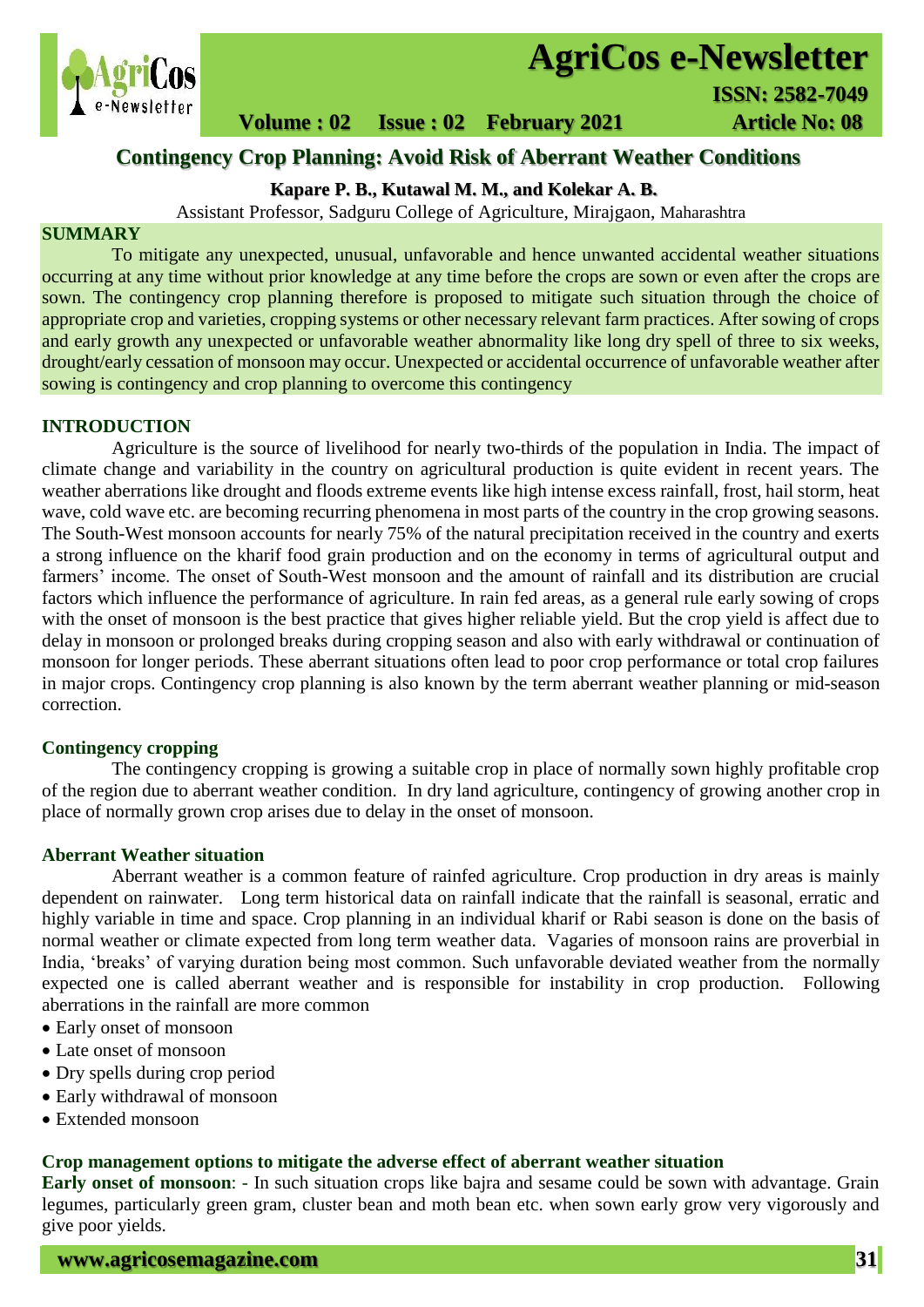

# **AgriCos e-Newsletter**

 **Volume : 02 Issue : 02 February 2021 4rticle No: 08** 

# **Contingency Crop Planning: Avoid Risk of Aberrant Weather Conditions**

# **Kapare P. B., Kutawal M. M., and Kolekar A. B.**

Assistant Professor, Sadguru College of Agriculture, Mirajgaon, Maharashtra

## **SUMMARY**

 To mitigate any unexpected, unusual, unfavorable and hence unwanted accidental weather situations occurring at any time without prior knowledge at any time before the crops are sown or even after the crops are sown. The contingency crop planning therefore is proposed to mitigate such situation through the choice of appropriate crop and varieties, cropping systems or other necessary relevant farm practices. After sowing of crops and early growth any unexpected or unfavorable weather abnormality like long dry spell of three to six weeks, drought/early cessation of monsoon may occur. Unexpected or accidental occurrence of unfavorable weather after sowing is contingency and crop planning to overcome this contingency

#### **INTRODUCTION**

Agriculture is the source of livelihood for nearly two-thirds of the population in India. The impact of climate change and variability in the country on agricultural production is quite evident in recent years. The weather aberrations like drought and floods extreme events like high intense excess rainfall, frost, hail storm, heat wave, cold wave etc. are becoming recurring phenomena in most parts of the country in the crop growing seasons. The South-West monsoon accounts for nearly 75% of the natural precipitation received in the country and exerts a strong influence on the kharif food grain production and on the economy in terms of agricultural output and farmers' income. The onset of South-West monsoon and the amount of rainfall and its distribution are crucial factors which influence the performance of agriculture. In rain fed areas, as a general rule early sowing of crops with the onset of monsoon is the best practice that gives higher reliable yield. But the crop yield is affect due to delay in monsoon or prolonged breaks during cropping season and also with early withdrawal or continuation of monsoon for longer periods. These aberrant situations often lead to poor crop performance or total crop failures in major crops. Contingency crop planning is also known by the term aberrant weather planning or mid-season correction.

#### **Contingency cropping**

The contingency cropping is growing a suitable crop in place of normally sown highly profitable crop of the region due to aberrant weather condition. In dry land agriculture, contingency of growing another crop in place of normally grown crop arises due to delay in the onset of monsoon.

#### **Aberrant Weather situation**

Aberrant weather is a common feature of rainfed agriculture. Crop production in dry areas is mainly dependent on rainwater. Long term historical data on rainfall indicate that the rainfall is seasonal, erratic and highly variable in time and space. Crop planning in an individual kharif or Rabi season is done on the basis of normal weather or climate expected from long term weather data. Vagaries of monsoon rains are proverbial in India, 'breaks' of varying duration being most common. Such unfavorable deviated weather from the normally expected one is called aberrant weather and is responsible for instability in crop production. Following aberrations in the rainfall are more common

- Early onset of monsoon
- Late onset of monsoon
- Dry spells during crop period
- Early withdrawal of monsoon
- Extended monsoon

#### **Crop management options to mitigate the adverse effect of aberrant weather situation**

**Early onset of monsoon**: - In such situation crops like bajra and sesame could be sown with advantage. Grain legumes, particularly green gram, cluster bean and moth bean etc. when sown early grow very vigorously and give poor yields.